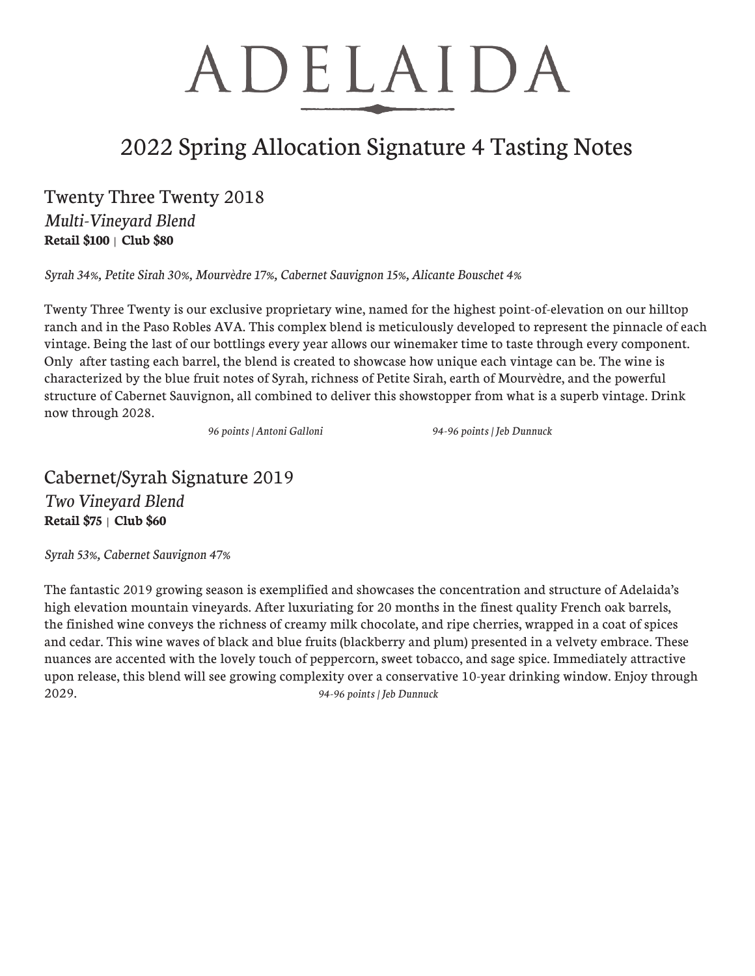# ADELAIDA

### 2022 Spring Allocation Signature 4 Tasting Notes

### Twenty Three Twenty 2018

*Multi-Vineyard Blend* **Retail \$100** | **Club \$80**

*Syrah 34%, Petite Sirah 30%, Mourvèdre 17%, Cabernet Sauvignon 15%, Alicante Bouschet 4%*

Twenty Three Twenty is our exclusive proprietary wine, named for the highest point-of-elevation on our hilltop ranch and in the Paso Robles AVA. This complex blend is meticulously developed to represent the pinnacle of each vintage. Being the last of our bottlings every year allows our winemaker time to taste through every component. Only after tasting each barrel, the blend is created to showcase how unique each vintage can be. The wine is characterized by the blue fruit notes of Syrah, richness of Petite Sirah, earth of Mourvèdre, and the powerful structure of Cabernet Sauvignon, all combined to deliver this showstopper from what is a superb vintage. Drink now through 2028.

 *96 points | Antoni Galloni 94-96 points | Jeb Dunnuck*

#### Cabernet/Syrah Signature 2019 *Two Vineyard Blend* **Retail \$75** | **Club \$60**

*Syrah 53%, Cabernet Sauvignon 47%*

The fantastic 2019 growing season is exemplified and showcases the concentration and structure of Adelaida's high elevation mountain vineyards. After luxuriating for 20 months in the finest quality French oak barrels, the finished wine conveys the richness of creamy milk chocolate, and ripe cherries, wrapped in a coat of spices and cedar. This wine waves of black and blue fruits (blackberry and plum) presented in a velvety embrace. These nuances are accented with the lovely touch of peppercorn, sweet tobacco, and sage spice. Immediately attractive upon release, this blend will see growing complexity over a conservative 10-year drinking window. Enjoy through 2029. *94-96 points | Jeb Dunnuck*